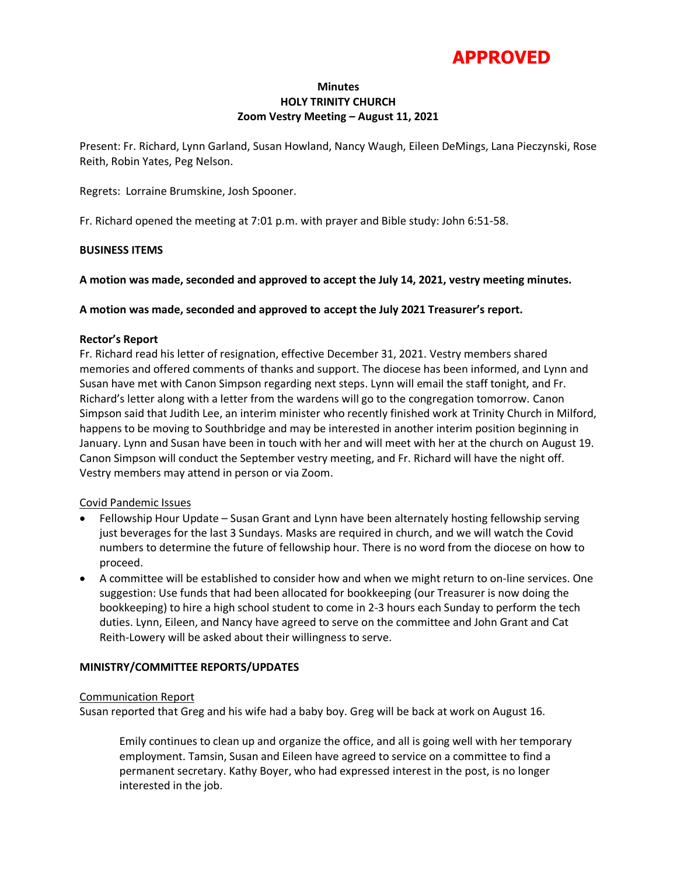

# **Minutes HOLY TRINITY CHURCH Zoom Vestry Meeting – August 11, 2021**

Present: Fr. Richard, Lynn Garland, Susan Howland, Nancy Waugh, Eileen DeMings, Lana Pieczynski, Rose Reith, Robin Yates, Peg Nelson.

Regrets: Lorraine Brumskine, Josh Spooner.

Fr. Richard opened the meeting at 7:01 p.m. with prayer and Bible study: John 6:51-58.

### **BUSINESS ITEMS**

**A motion was made, seconded and approved to accept the July 14, 2021, vestry meeting minutes.** 

**A motion was made, seconded and approved to accept the July 2021 Treasurer's report.**

#### **Rector's Report**

Fr. Richard read his letter of resignation, effective December 31, 2021. Vestry members shared memories and offered comments of thanks and support. The diocese has been informed, and Lynn and Susan have met with Canon Simpson regarding next steps. Lynn will email the staff tonight, and Fr. Richard's letter along with a letter from the wardens will go to the congregation tomorrow. Canon Simpson said that Judith Lee, an interim minister who recently finished work at Trinity Church in Milford, happens to be moving to Southbridge and may be interested in another interim position beginning in January. Lynn and Susan have been in touch with her and will meet with her at the church on August 19. Canon Simpson will conduct the September vestry meeting, and Fr. Richard will have the night off. Vestry members may attend in person or via Zoom.

# Covid Pandemic Issues

- Fellowship Hour Update Susan Grant and Lynn have been alternately hosting fellowship serving just beverages for the last 3 Sundays. Masks are required in church, and we will watch the Covid numbers to determine the future of fellowship hour. There is no word from the diocese on how to proceed.
- A committee will be established to consider how and when we might return to on-line services. One suggestion: Use funds that had been allocated for bookkeeping (our Treasurer is now doing the bookkeeping) to hire a high school student to come in 2-3 hours each Sunday to perform the tech duties. Lynn, Eileen, and Nancy have agreed to serve on the committee and John Grant and Cat Reith-Lowery will be asked about their willingness to serve.

# **MINISTRY/COMMITTEE REPORTS/UPDATES**

#### Communication Report

Susan reported that Greg and his wife had a baby boy. Greg will be back at work on August 16.

Emily continues to clean up and organize the office, and all is going well with her temporary employment. Tamsin, Susan and Eileen have agreed to service on a committee to find a permanent secretary. Kathy Boyer, who had expressed interest in the post, is no longer interested in the job.